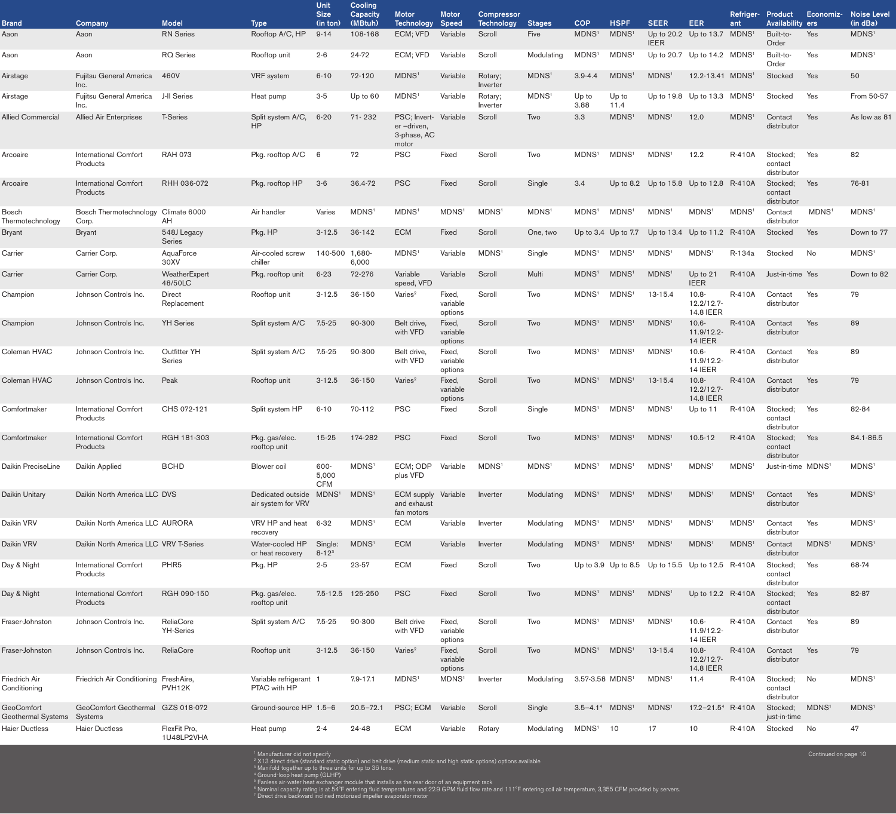|                                         |                                          |                               |                                           | <b>Unit</b><br><b>Size</b>  | <b>Cooling</b><br><b>Capacity</b> | <b>Motor</b>                                                | <b>Motor</b>                  | <b>Compressor</b>   |                   |                             |                         |                                           |                                            | Refriger- Product |                                    | Economiz-            | <b>Noise Level</b> |
|-----------------------------------------|------------------------------------------|-------------------------------|-------------------------------------------|-----------------------------|-----------------------------------|-------------------------------------------------------------|-------------------------------|---------------------|-------------------|-----------------------------|-------------------------|-------------------------------------------|--------------------------------------------|-------------------|------------------------------------|----------------------|--------------------|
| <b>Brand</b>                            | Company                                  | <b>Model</b>                  | <b>Type</b>                               | (in ton)                    | (MBtuh)                           | Technology                                                  | <b>Speed</b>                  | <b>Technology</b>   | <b>Stages</b>     | <b>COP</b>                  | <b>HSPF</b>             | <b>SEER</b>                               | <b>EER</b>                                 | ant               | <b>Availability ers</b>            |                      | (in dBa)           |
| Aaon                                    | Aaon                                     | <b>RN</b> Series              | Rooftop A/C, HP                           | $9 - 14$                    | 108-168                           | ECM; VFD                                                    | Variable                      | Scroll              | Five              | MDNS <sup>1</sup>           | <b>MDNS</b>             | <b>IEER</b>                               | Up to 20.2 Up to 13.7 MDNS <sup>1</sup>    |                   | Built-to-<br>Order                 | Yes                  | MDNS <sup>1</sup>  |
| Aaon                                    | Aaon                                     | <b>RQ</b> Series              | Rooftop unit                              | $2 - 6$                     | 24-72                             | ECM; VFD                                                    | Variable                      | Scroll              | Modulating        | MDNS <sup>1</sup>           | MDNS <sup>1</sup>       | Up to 20.7 Up to $14.2$ MDNS <sup>1</sup> |                                            |                   | Built-to-<br>Order                 | Yes                  | MDNS <sup>1</sup>  |
| Airstage                                | Fujitsu General America<br>Inc.          | 460V                          | <b>VRF</b> system                         | $6 - 10$                    | 72-120                            | MDNS <sup>1</sup>                                           | Variable                      | Rotary;<br>Inverter | MDNS <sup>1</sup> | $3.9 - 4.4$                 | MDNS <sup>1</sup>       | MDNS <sup>1</sup>                         | 12.2-13.41 MDNS <sup>1</sup>               |                   | Stocked                            | Yes                  | 50                 |
| Airstage                                | Fujitsu General America<br>Inc.          | J-II Series                   | Heat pump                                 | $3-5$                       | Up to 60                          | MDNS <sup>1</sup>                                           | Variable                      | Rotary;<br>Inverter | MDNS <sup>1</sup> | Up to<br>3.88               | Up to<br>11.4           | Up to 19.8 Up to 13.3 $MDNS1$             |                                            |                   | Stocked                            | Yes                  | From 50-57         |
| <b>Allied Commercial</b>                | <b>Allied Air Enterprises</b>            | <b>T-Series</b>               | Split system A/C,<br><b>HP</b>            | $6 - 20$                    | 71-232                            | PSC; Invert- Variable<br>er-driven,<br>3-phase, AC<br>motor |                               | Scroll              | Two               | 3.3                         | <b>MDNS</b>             | MDNS <sup>1</sup>                         | 12.0                                       | MDNS <sup>1</sup> | Contact<br>distributor             | Yes                  | As low as 81       |
| Arcoaire                                | <b>International Comfort</b><br>Products | <b>RAH 073</b>                | Pkg. rooftop A/C                          | 6                           | 72                                | <b>PSC</b>                                                  | Fixed                         | Scroll              | Two               | MDNS <sup>1</sup>           | MDNS <sup>1</sup>       | MDNS <sup>1</sup>                         | 12.2                                       | <b>R-410A</b>     | Stocked;<br>contact<br>distributor | Yes                  | 82                 |
| Arcoaire                                | <b>International Comfort</b><br>Products | RHH 036-072                   | Pkg. rooftop HP                           | $3-6$                       | 36.4-72                           | <b>PSC</b>                                                  | Fixed                         | Scroll              | Single            | 3.4                         |                         | Up to 8.2 Up to 15.8 Up to 12.8 R-410A    |                                            |                   | Stocked;<br>contact<br>distributor | Yes                  | 76-81              |
| <b>Bosch</b><br>Thermotechnology        | Bosch Thermotechnology<br>Corp.          | Climate 6000<br>AH.           | Air handler                               | Varies                      | MDNS <sup>1</sup>                 | MDNS <sup>1</sup>                                           | MDNS <sup>1</sup>             | MDNS <sup>1</sup>   | MDNS <sup>1</sup> | MDNS <sup>1</sup>           | MDNS <sup>1</sup>       | MDNS <sup>1</sup>                         | MDNS <sup>1</sup>                          | MDNS <sup>1</sup> | Contact<br>distributor             | <b>MDNS</b>          | MDNS <sup>1</sup>  |
| <b>Bryant</b>                           | <b>Bryant</b>                            | 548J Legacy<br>Series         | Pkg. HP                                   | $3 - 12.5$                  | 36-142                            | <b>ECM</b>                                                  | Fixed                         | Scroll              | One, two          |                             | Up to $3.4$ Up to $7.7$ |                                           | Up to 13.4 Up to 11.2 $R-410A$             |                   | Stocked                            | Yes                  | Down to 77         |
| Carrier                                 | Carrier Corp.                            | AquaForce<br>30XV             | Air-cooled screw<br>chiller               | 140-500 1,680-              | 6,000                             | MDNS <sup>1</sup>                                           | Variable                      | MDNS <sup>1</sup>   | Single            | MDNS <sup>1</sup>           | MDNS <sup>1</sup>       | MDNS <sup>1</sup>                         | MDNS <sup>1</sup>                          | R-134a            | Stocked                            | No                   | MDNS <sup>1</sup>  |
| Carrier                                 | Carrier Corp.                            | WeatherExpert<br>48/50LC      | Pkg. rooftop unit                         | $6 - 23$                    | 72-276                            | Variable<br>speed, VFD                                      | Variable                      | Scroll              | Multi             | MDNS <sup>1</sup>           | MDNS <sup>1</sup>       | MDNS <sup>1</sup>                         | Up to 21<br><b>IEER</b>                    | R-410A            | Just-in-time Yes                   |                      | Down to 82         |
| Champion                                | Johnson Controls Inc.                    | Direct<br>Replacement         | Rooftop unit                              | $3 - 12.5$                  | 36-150                            | Varies <sup>2</sup>                                         | Fixed,<br>variable<br>options | Scroll              | Two               | MDNS <sup>1</sup>           | MDNS <sup>1</sup>       | $13 - 15.4$                               | $10.8 -$<br>12.2/12.7-<br><b>14.8 IEER</b> | R-410A            | Contact<br>distributor             | Yes                  | 79                 |
| Champion                                | Johnson Controls Inc.                    | <b>YH</b> Series              | Split system A/C                          | $7.5 - 25$                  | 90-300                            | Belt drive,<br>with VFD                                     | Fixed,<br>variable<br>options | Scroll              | Two               | MDNS <sup>1</sup>           | MDNS <sup>1</sup>       | MDNS <sup>1</sup>                         | $10.6 -$<br>11.9/12.2-<br>14 IEER          | R-410A            | Contact<br>distributor             | Yes                  | 89                 |
| Coleman HVAC                            | Johnson Controls Inc.                    | <b>Outfitter YH</b><br>Series | Split system A/C                          | $7.5 - 25$                  | 90-300                            | Belt drive,<br>with VFD                                     | Fixed,<br>variable<br>options | Scroll              | Two               | MDNS <sup>1</sup>           | MDNS <sup>1</sup>       | MDNS <sup>1</sup>                         | $10.6 -$<br>11.9/12.2-<br>14 IEER          | <b>R-410A</b>     | Contact<br>distributor             | Yes                  | 89                 |
| Coleman HVAC                            | Johnson Controls Inc.                    | Peak                          | Rooftop unit                              | $3 - 12.5$                  | 36-150                            | Varies <sup>2</sup>                                         | Fixed,<br>variable<br>options | Scroll              | Two               | <b>MDNS</b>                 | MDNS <sup>1</sup>       | 13-15.4                                   | $10.8 -$<br>12.2/12.7-<br>14.8 IEER        | <b>R-410A</b>     | Contact<br>distributor             | <b>Yes</b>           | 79                 |
| Comfortmaker                            | <b>International Comfort</b><br>Products | CHS 072-121                   | Split system HP                           | $6 - 10$                    | 70-112                            | <b>PSC</b>                                                  | Fixed                         | Scroll              | Single            | MDNS <sup>1</sup>           | MDNS <sup>1</sup>       | MDNS <sup>1</sup>                         | Up to 11                                   | R-410A            | Stocked;<br>contact<br>distributor | Yes                  | 82-84              |
| Comfortmaker                            | <b>International Comfort</b><br>Products | RGH 181-303                   | Pkg. gas/elec.<br>rooftop unit            | $15 - 25$                   | 174-282                           | <b>PSC</b>                                                  | Fixed                         | Scroll              | Two               | MDNS <sup>1</sup>           | MDNS <sup>1</sup>       | MDNS <sup>1</sup>                         | $10.5 - 12$                                | <b>R-410A</b>     | Stocked;<br>contact<br>distributor | Yes                  | 84.1-86.5          |
| Daikin PreciseLine                      | Daikin Applied                           | <b>BCHD</b>                   | <b>Blower</b> coil                        | 600-<br>5,000<br><b>CFM</b> | MDNS <sup>1</sup>                 | ECM; ODP<br>plus VFD                                        | Variable                      | MDNS <sup>1</sup>   | MDNS <sup>1</sup> | MDNS <sup>1</sup>           | MDNS <sup>1</sup>       | MDNS <sup>1</sup>                         | MDNS <sup>1</sup>                          | MDNS <sup>1</sup> | Just-in-time MDNS <sup>1</sup>     |                      | MDNS <sup>1</sup>  |
| Daikin Unitary                          | Daikin North America LLC DVS             |                               | Dedicated outside<br>air system for VRV   | MDNS <sup>1</sup>           | MDNS <sup>1</sup>                 | <b>ECM</b> supply<br>and exhaust<br>fan motors              | Variable                      | Inverter            | Modulating        | MDNS <sup>1</sup>           | MDNS <sup>1</sup>       | MDNS <sup>1</sup>                         | MDNS <sup>1</sup>                          | MDNS <sup>1</sup> | Contact<br>distributor             | Yes                  | MDNS <sup>1</sup>  |
| Daikin VRV                              | Daikin North America LLC AURORA          |                               | VRV HP and heat<br>recovery               | $6 - 32$                    | MDNS <sup>1</sup>                 | <b>ECM</b>                                                  | Variable                      | Inverter            | Modulating        | MDNS <sup>1</sup>           | MDNS <sup>1</sup>       | MDNS <sup>1</sup>                         | MDNS <sup>1</sup>                          | MDNS <sup>1</sup> | Contact<br>distributor             | Yes                  | MDNS <sup>1</sup>  |
| Daikin VRV                              | Daikin North America LLC VRV T-Series    |                               | Water-cooled HP<br>or heat recovery       | Single:<br>$8 - 123$        | MDNS <sup>1</sup>                 | <b>ECM</b>                                                  | Variable                      | Inverter            | Modulating        | MDNS <sup>1</sup>           | MDNS <sup>1</sup>       | MDNS <sup>1</sup>                         | MDNS <sup>1</sup>                          | MDNS <sup>1</sup> | Contact<br>distributor             | MDNS <sup>1</sup>    | MDNS <sup>1</sup>  |
| Day & Night                             | <b>International Comfort</b><br>Products | PHR <sub>5</sub>              | Pkg. HP                                   | $2 - 5$                     | 23-57                             | <b>ECM</b>                                                  | Fixed                         | Scroll              | Two               |                             | Up to $3.9$ Up to $8.5$ | Up to 15.5 Up to 12.5 R-410A              |                                            |                   | Stocked;<br>contact<br>distributor | Yes                  | 68-74              |
| Day & Night                             | <b>International Comfort</b><br>Products | RGH 090-150                   | Pkg. gas/elec.<br>rooftop unit            | 7.5-12.5 125-250            |                                   | <b>PSC</b>                                                  | Fixed                         | Scroll              | Two               | MDNS <sup>1</sup>           | MDNS <sup>1</sup>       | MDNS <sup>1</sup>                         | Up to 12.2 R-410A                          |                   | Stocked;<br>contact<br>distributor | Yes                  | 82-87              |
| Fraser-Johnston                         | Johnson Controls Inc.                    | ReliaCore<br><b>YH-Series</b> | Split system A/C                          | $7.5 - 25$                  | 90-300                            | Belt drive<br>with VFD                                      | Fixed,<br>variable<br>options | Scroll              | Two               | MDNS <sup>1</sup>           | MDNS <sup>1</sup>       | MDNS <sup>1</sup>                         | $10.6 -$<br>11.9/12.2-<br>14 IEER          | <b>R-410A</b>     | Contact<br>distributor             | Yes                  | 89                 |
| Fraser-Johnston                         | Johnson Controls Inc.                    | ReliaCore                     | Rooftop unit                              | $3 - 12.5$                  | 36-150                            | Varies <sup>2</sup>                                         | Fixed,<br>variable<br>options | Scroll              | Two               | MDNS <sup>1</sup>           | MDNS <sup>1</sup>       | 13-15.4                                   | $10.8 -$<br>12.2/12.7-<br>14.8 IEER        | <b>R-410A</b>     | Contact<br>distributor             | Yes                  | 79                 |
| Friedrich Air<br>Conditioning           | Friedrich Air Conditioning               | FreshAire,<br>PVH12K          | Variable refrigerant 1<br>PTAC with HP    |                             | $7.9 - 17.1$                      | MDNS <sup>1</sup>                                           | MDNS <sup>1</sup>             | Inverter            | Modulating        | 3.57-3.58 MDNS <sup>1</sup> |                         | MDNS <sup>1</sup>                         | 11.4                                       | <b>R-410A</b>     | Stocked;<br>contact<br>distributor | No                   | MDNS <sup>1</sup>  |
| <b>GeoComfort</b><br>Geothermal Systems | GeoComfort Geothermal<br>Systems         | GZS 018-072                   | Ground-source HP 1.5-6                    |                             | $20.5 - 72.1$                     | PSC; ECM                                                    | Variable                      | Scroll              | Single            | $3.5 - 4.14$                | MDNS <sup>1</sup>       | MDNS <sup>1</sup>                         | 17.2-21.5 <sup>4</sup> R-410A              |                   | Stocked;<br>just-in-time           | MDNS <sup>1</sup>    | MDNS <sup>1</sup>  |
| <b>Haier Ductless</b>                   | <b>Haier Ductless</b>                    | FlexFit Pro,<br>1U48LP2VHA    | Heat pump                                 | $2 - 4$                     | 24-48                             | <b>ECM</b>                                                  | Variable                      | Rotary              | Modulating        | MDNS <sup>1</sup>           | 10                      | 17                                        | 10                                         | R-410A            | Stocked                            | No                   | 47                 |
|                                         |                                          |                               | <sup>1</sup> Manufacturer did not specify |                             |                                   |                                                             |                               |                     |                   |                             |                         |                                           |                                            |                   |                                    | Continued on page 10 |                    |

<sup>1</sup> Manufacturer did not specify<br><sup>2</sup> X13 direct drive (standard static option) and belt drive (medium static and high static options) options available

<sup>3</sup> Manifold together up to three units for up to 36 tons.

4 Ground-loop heat pump (GLHP) 5 Fanless air-water heat exchanger module that installs as the rear door of an equipment rack

6 Nominal capacity rating is at 54°F entering fluid temperatures and 22.9 GPM fluid flow rate and 111°F entering coil air temperature, 3,355 CFM provided by servers.

 $7$  Direct drive backward inclined motorized impeller evaporator motor